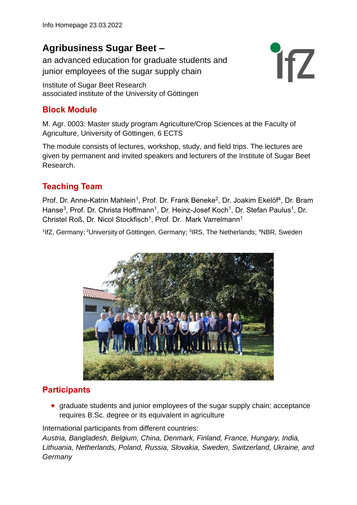# **Agribusiness Sugar Beet –**

an advanced education for graduate students and junior employees of the sugar supply chain

Institute of Sugar Beet Research associated institute of the University of Göttingen

### **Block Module**

M. Agr. 0003: Master study program Agriculture/Crop Sciences at the Faculty of Agriculture, University of Göttingen, 6 ECTS

The module consists of lectures, workshop, study, and field trips. The lectures are given by permanent and invited speakers and lecturers of the Institute of Sugar Beet Research.

**ifZ** 

## **Teaching Team**

Prof. Dr. Anne-Katrin Mahlein<sup>1</sup>, Prof. Dr. Frank Beneke<sup>2</sup>, Dr. Joakim Ekelöf<sup>4</sup>, Dr. Bram Hanse<sup>3</sup>, Prof. Dr. Christa Hoffmann<sup>1</sup>, Dr. Heinz-Josef Koch<sup>1</sup>, Dr. Stefan Paulus<sup>1</sup>, Dr. Christel Roß, Dr. Nicol Stockfisch<sup>1</sup>, Prof. Dr. Mark Varrelmann<sup>1</sup>

<sup>1</sup>IfZ, Germany; <sup>2</sup>University of Göttingen, Germany; <sup>3</sup>IRS, The Netherlands; <sup>4</sup>NBR, Sweden



#### **Participants**

• graduate students and junior employees of the sugar supply chain; acceptance requires B.Sc. degree or its equivalent in agriculture

International participants from different countries:

*Austria, Bangladesh, Belgium, China, Denmark, Finland, France, Hungary, India, Lithuania, Netherlands, Poland, Russia, Slovakia, Sweden, Switzerland, Ukraine, and Germany*